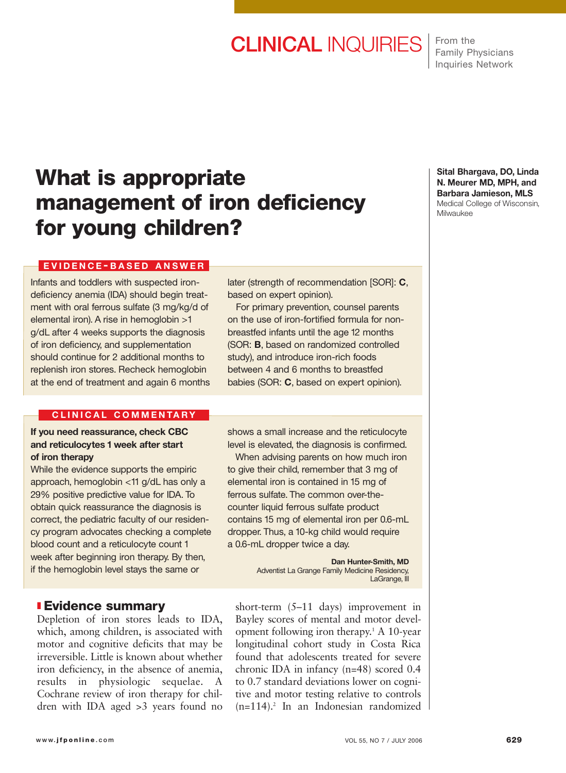# CLINICAL INQUIRIES

From the Family Physicians Inquiries Network

## **What is appropriate management of iron deficiency for young children?**

#### **EVIDENCE - BASED ANSWER**

Infants and toddlers with suspected irondeficiency anemia (IDA) should begin treatment with oral ferrous sulfate (3 mg/kg/d of elemental iron). A rise in hemoglobin >1 g/dL after 4 weeks supports the diagnosis of iron deficiency, and supplementation should continue for 2 additional months to replenish iron stores. Recheck hemoglobin at the end of treatment and again 6 months later (strength of recommendation [SOR]: **C**, based on expert opinion).

For primary prevention, counsel parents on the use of iron-fortified formula for nonbreastfed infants until the age 12 months (SOR: **B**, based on randomized controlled study), and introduce iron-rich foods between 4 and 6 months to breastfed babies (SOR: **C**, based on expert opinion).

### **C LINICAL COMMENTARY**

**If you need reassurance, check CBC and reticulocytes 1 week after start of iron therapy**

While the evidence supports the empiric approach, hemoglobin <11 g/dL has only a 29% positive predictive value for IDA. To obtain quick reassurance the diagnosis is correct, the pediatric faculty of our residency program advocates checking a complete blood count and a reticulocyte count 1 week after beginning iron therapy. By then, if the hemoglobin level stays the same or

### ❚ **Evidence summary**

Depletion of iron stores leads to IDA, which, among children, is associated with motor and cognitive deficits that may be irreversible. Little is known about whether iron deficiency, in the absence of anemia, results in physiologic sequelae. A Cochrane review of iron therapy for children with IDA aged >3 years found no

shows a small increase and the reticulocyte level is elevated, the diagnosis is confirmed.

When advising parents on how much iron to give their child, remember that 3 mg of elemental iron is contained in 15 mg of ferrous sulfate. The common over-thecounter liquid ferrous sulfate product contains 15 mg of elemental iron per 0.6-mL dropper. Thus, a 10-kg child would require a 0.6-mL dropper twice a day.

> **Dan Hunter-Smith, MD** Adventist La Grange Family Medicine Residency, LaGrange, III

short-term (5–11 days) improvement in Bayley scores of mental and motor development following iron therapy.1 A 10-year longitudinal cohort study in Costa Rica found that adolescents treated for severe chronic IDA in infancy (n=48) scored 0.4 to 0.7 standard deviations lower on cognitive and motor testing relative to controls  $(n=114)$ .<sup>2</sup> In an Indonesian randomized

#### **Sital Bhargava, DO, Linda N. Meurer MD, MPH, and Barbara Jamieson, MLS** Medical College of Wisconsin, Milwaukee